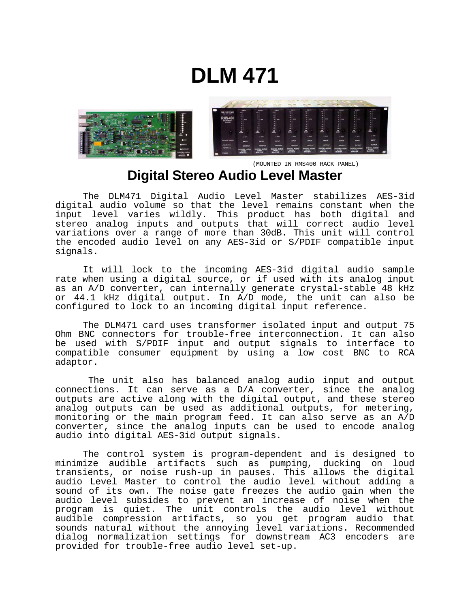# **DLM 471**



 (MOUNTED IN RMS400 RACK PANEL) **Digital Stereo Audio Level Master** 

 The DLM471 Digital Audio Level Master stabilizes AES-3id digital audio volume so that the level remains constant when the input level varies wildly. This product has both digital and stereo analog inputs and outputs that will correct audio level variations over a range of more than 30dB. This unit will control the encoded audio level on any AES-3id or S/PDIF compatible input signals.

It will lock to the incoming AES-3id digital audio sample rate when using a digital source, or if used with its analog input as an A/D converter, can internally generate crystal-stable 48 kHz or 44.1 kHz digital output. In A/D mode, the unit can also be configured to lock to an incoming digital input reference.

 The DLM471 card uses transformer isolated input and output 75 Ohm BNC connectors for trouble-free interconnection*.* It can also be used with S/PDIF input and output signals to interface to compatible consumer equipment by using a low cost BNC to RCA adaptor.

 The unit also has balanced analog audio input and output connections. It can serve as a D/A converter, since the analog outputs are active along with the digital output, and these stereo analog outputs can be used as additional outputs, for metering, monitoring or the main program feed. It can also serve as an A/D converter, since the analog inputs can be used to encode analog audio into digital AES-3id output signals.

 The control system is program-dependent and is designed to minimize audible artifacts such as pumping, ducking on loud transients, or noise rush-up in pauses. This allows the digital audio Level Master to control the audio level without adding a sound of its own. The noise gate freezes the audio gain when the audio level subsides to prevent an increase of noise when the program is quiet. The unit controls the audio level without audible compression artifacts, so you get program audio that sounds natural without the annoying level variations. Recommended dialog normalization settings for downstream AC3 encoders are provided for trouble-free audio level set-up.